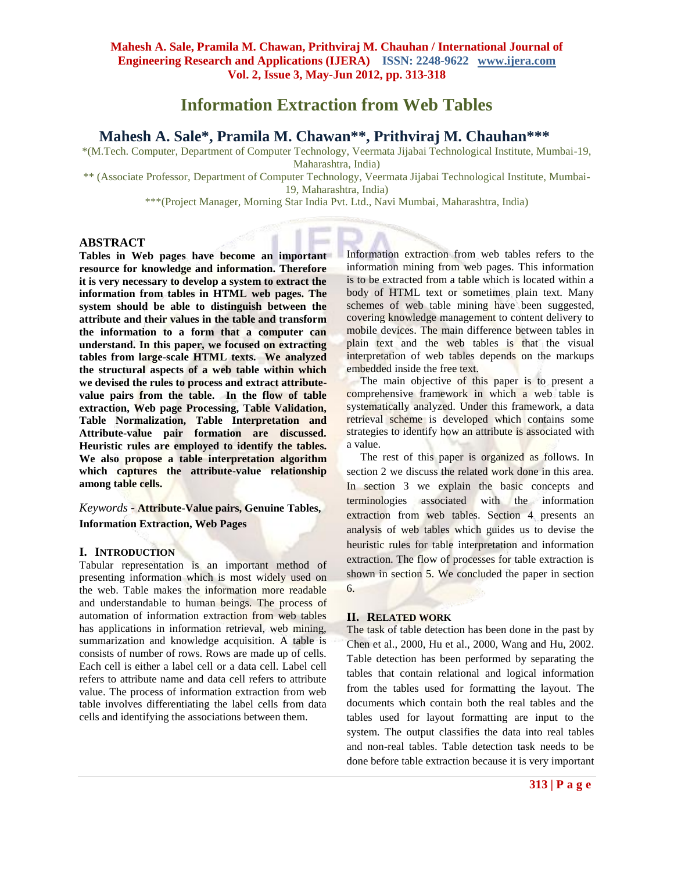# **Information Extraction from Web Tables**

# **Mahesh A. Sale\*, Pramila M. Chawan\*\*, Prithviraj M. Chauhan\*\*\***

\*(M.Tech. Computer, Department of Computer Technology, Veermata Jijabai Technological Institute, Mumbai-19, Maharashtra, India)

\*\* (Associate Professor, Department of Computer Technology, Veermata Jijabai Technological Institute, Mumbai-19, Maharashtra, India)

\*\*\*(Project Manager, Morning Star India Pvt. Ltd., Navi Mumbai, Maharashtra, India)

# **ABSTRACT**

**Tables in Web pages have become an important resource for knowledge and information. Therefore it is very necessary to develop a system to extract the information from tables in HTML web pages. The system should be able to distinguish between the attribute and their values in the table and transform the information to a form that a computer can understand. In this paper, we focused on extracting tables from large-scale HTML texts. We analyzed the structural aspects of a web table within which we devised the rules to process and extract attributevalue pairs from the table. In the flow of table extraction, Web page Processing, Table Validation, Table Normalization, Table Interpretation and Attribute-value pair formation are discussed. Heuristic rules are employed to identify the tables. We also propose a table interpretation algorithm which captures the attribute-value relationship among table cells.**

# *Keywords* **- Attribute-Value pairs, Genuine Tables, Information Extraction, Web Pages**

# **I. INTRODUCTION**

Tabular representation is an important method of presenting information which is most widely used on the web. Table makes the information more readable and understandable to human beings. The process of automation of information extraction from web tables has applications in information retrieval, web mining, summarization and knowledge acquisition. A table is consists of number of rows. Rows are made up of cells. Each cell is either a label cell or a data cell. Label cell refers to attribute name and data cell refers to attribute value. The process of information extraction from web table involves differentiating the label cells from data cells and identifying the associations between them.

Information extraction from web tables refers to the information mining from web pages. This information is to be extracted from a table which is located within a body of HTML text or sometimes plain text. Many schemes of web table mining have been suggested, covering knowledge management to content delivery to mobile devices. The main difference between tables in plain text and the web tables is that the visual interpretation of web tables depends on the markups embedded inside the free text.

 The main objective of this paper is to present a comprehensive framework in which a web table is systematically analyzed. Under this framework, a data retrieval scheme is developed which contains some strategies to identify how an attribute is associated with a value.

The rest of this paper is organized as follows. In section 2 we discuss the related work done in this area. In section 3 we explain the basic concepts and terminologies associated with the information extraction from web tables. Section 4 presents an analysis of web tables which guides us to devise the heuristic rules for table interpretation and information extraction. The flow of processes for table extraction is shown in section 5. We concluded the paper in section 6.

# **II. RELATED WORK**

The task of table detection has been done in the past by Chen et al., 2000, Hu et al., 2000, Wang and Hu, 2002. Table detection has been performed by separating the tables that contain relational and logical information from the tables used for formatting the layout. The documents which contain both the real tables and the tables used for layout formatting are input to the system. The output classifies the data into real tables and non-real tables. Table detection task needs to be done before table extraction because it is very important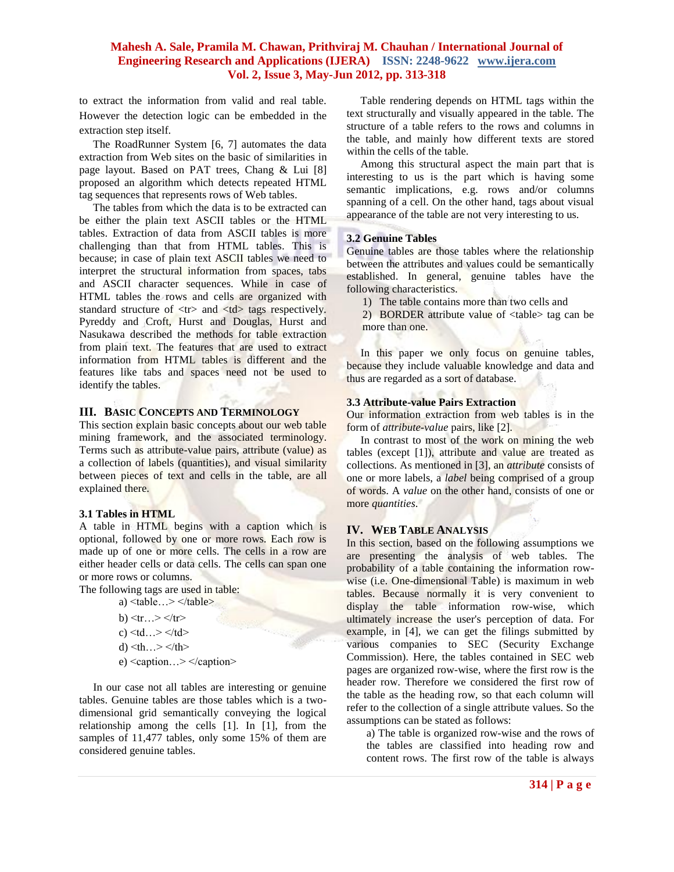to extract the information from valid and real table. However the detection logic can be embedded in the extraction step itself.

 The RoadRunner System [6, 7] automates the data extraction from Web sites on the basic of similarities in page layout. Based on PAT trees, Chang & Lui [8] proposed an algorithm which detects repeated HTML tag sequences that represents rows of Web tables.

 The tables from which the data is to be extracted can be either the plain text ASCII tables or the HTML tables. Extraction of data from ASCII tables is more challenging than that from HTML tables. This is because; in case of plain text ASCII tables we need to interpret the structural information from spaces, tabs and ASCII character sequences. While in case of HTML tables the rows and cells are organized with standard structure of  $\langle tr \rangle$  and  $\langle td \rangle$  tags respectively. Pyreddy and Croft, Hurst and Douglas, Hurst and Nasukawa described the methods for table extraction from plain text. The features that are used to extract information from HTML tables is different and the features like tabs and spaces need not be used to identify the tables.

#### **III. BASIC CONCEPTS AND TERMINOLOGY**

This section explain basic concepts about our web table mining framework, and the associated terminology. Terms such as attribute-value pairs, attribute (value) as a collection of labels (quantities), and visual similarity between pieces of text and cells in the table, are all explained there.

#### **3.1 Tables in HTML**

A table in HTML begins with a caption which is optional, followed by one or more rows. Each row is made up of one or more cells. The cells in a row are either header cells or data cells. The cells can span one or more rows or columns.

The following tags are used in table:

- a) <table…> </table>
- b)  $\langle tr \dots \rangle \langle tr \rangle$ c)  $<$ td… $>$   $<$ /td $>$ d)  $\langle th... \rangle \langle th \rangle$
- e) <caption…> </caption>

 In our case not all tables are interesting or genuine tables. Genuine tables are those tables which is a twodimensional grid semantically conveying the logical relationship among the cells [1]. In [1], from the samples of 11,477 tables, only some 15% of them are considered genuine tables.

 Table rendering depends on HTML tags within the text structurally and visually appeared in the table. The structure of a table refers to the rows and columns in the table, and mainly how different texts are stored within the cells of the table.

 Among this structural aspect the main part that is interesting to us is the part which is having some semantic implications, e.g. rows and/or columns spanning of a cell. On the other hand, tags about visual appearance of the table are not very interesting to us.

# **3.2 Genuine Tables**

Genuine tables are those tables where the relationship between the attributes and values could be semantically established. In general, genuine tables have the following characteristics.

- 1) The table contains more than two cells and
- 2) BORDER attribute value of <table> tag can be more than one.

In this paper we only focus on genuine tables, because they include valuable knowledge and data and thus are regarded as a sort of database.

#### **3.3 Attribute-value Pairs Extraction**

Our information extraction from web tables is in the form of *attribute-value* pairs, like [2].

 In contrast to most of the work on mining the web tables (except [1]), attribute and value are treated as collections. As mentioned in [3], an *attribute* consists of one or more labels, a *label* being comprised of a group of words. A *value* on the other hand, consists of one or more *quantities*.

# **IV. WEB TABLE ANALYSIS**

In this section, based on the following assumptions we are presenting the analysis of web tables. The probability of a table containing the information rowwise (i.e. One-dimensional Table) is maximum in web tables. Because normally it is very convenient to display the table information row-wise, which ultimately increase the user's perception of data. For example, in [4], we can get the filings submitted by various companies to SEC (Security Exchange Commission). Here, the tables contained in SEC web pages are organized row-wise, where the first row is the header row. Therefore we considered the first row of the table as the heading row, so that each column will refer to the collection of a single attribute values. So the assumptions can be stated as follows:

a) The table is organized row-wise and the rows of the tables are classified into heading row and content rows. The first row of the table is always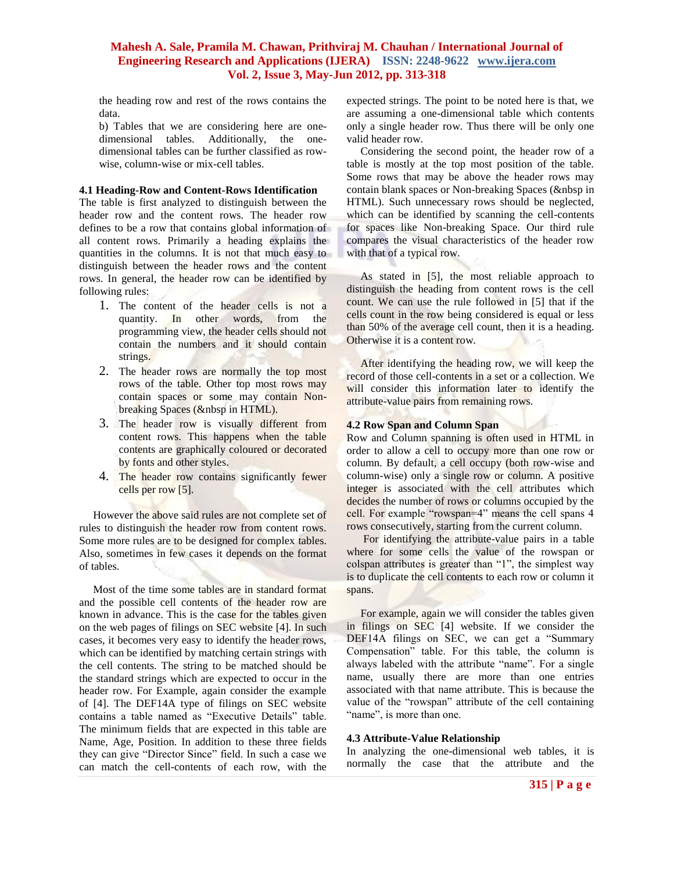the heading row and rest of the rows contains the data.

b) Tables that we are considering here are onedimensional tables. Additionally, the onedimensional tables can be further classified as rowwise, column-wise or mix-cell tables.

#### **4.1 Heading-Row and Content-Rows Identification**

The table is first analyzed to distinguish between the header row and the content rows. The header row defines to be a row that contains global information of all content rows. Primarily a heading explains the quantities in the columns. It is not that much easy to distinguish between the header rows and the content rows. In general, the header row can be identified by following rules:

- 1. The content of the header cells is not a quantity. In other words, from the programming view, the header cells should not contain the numbers and it should contain strings.
- 2. The header rows are normally the top most rows of the table. Other top most rows may contain spaces or some may contain Nonbreaking Spaces (&nbsp in HTML).
- 3. The header row is visually different from content rows. This happens when the table contents are graphically coloured or decorated by fonts and other styles.
- 4. The header row contains significantly fewer cells per row [5].

 However the above said rules are not complete set of rules to distinguish the header row from content rows. Some more rules are to be designed for complex tables. Also, sometimes in few cases it depends on the format of tables.

 Most of the time some tables are in standard format and the possible cell contents of the header row are known in advance. This is the case for the tables given on the web pages of filings on SEC website [4]. In such cases, it becomes very easy to identify the header rows, which can be identified by matching certain strings with the cell contents. The string to be matched should be the standard strings which are expected to occur in the header row. For Example, again consider the example of [4]. The DEF14A type of filings on SEC website contains a table named as "Executive Details" table. The minimum fields that are expected in this table are Name, Age, Position. In addition to these three fields they can give "Director Since" field. In such a case we can match the cell-contents of each row, with the

expected strings. The point to be noted here is that, we are assuming a one-dimensional table which contents only a single header row. Thus there will be only one valid header row.

 Considering the second point, the header row of a table is mostly at the top most position of the table. Some rows that may be above the header rows may contain blank spaces or Non-breaking Spaces  $(knbsp)$  in HTML). Such unnecessary rows should be neglected, which can be identified by scanning the cell-contents for spaces like Non-breaking Space. Our third rule compares the visual characteristics of the header row with that of a typical row.

 As stated in [5], the most reliable approach to distinguish the heading from content rows is the cell count. We can use the rule followed in [5] that if the cells count in the row being considered is equal or less than 50% of the average cell count, then it is a heading. Otherwise it is a content row.

 After identifying the heading row, we will keep the record of those cell-contents in a set or a collection. We will consider this information later to identify the attribute-value pairs from remaining rows.

#### **4.2 Row Span and Column Span**

Row and Column spanning is often used in HTML in order to allow a cell to occupy more than one row or column. By default, a cell occupy (both row-wise and column-wise) only a single row or column. A positive integer is associated with the cell attributes which decides the number of rows or columns occupied by the cell. For example "rowspan=4" means the cell spans 4 rows consecutively, starting from the current column.

 For identifying the attribute-value pairs in a table where for some cells the value of the rowspan or colspan attributes is greater than "1", the simplest way is to duplicate the cell contents to each row or column it spans.

 For example, again we will consider the tables given in filings on SEC [4] website. If we consider the DEF14A filings on SEC, we can get a "Summary Compensation" table. For this table, the column is always labeled with the attribute "name". For a single name, usually there are more than one entries associated with that name attribute. This is because the value of the "rowspan" attribute of the cell containing "name", is more than one.

#### **4.3 Attribute-Value Relationship**

In analyzing the one-dimensional web tables, it is normally the case that the attribute and the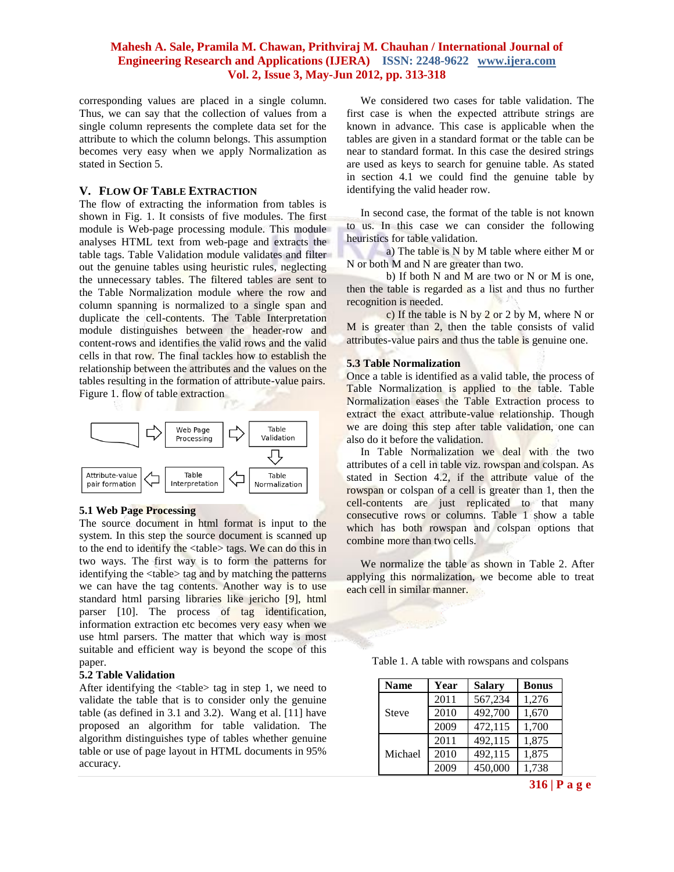corresponding values are placed in a single column. Thus, we can say that the collection of values from a single column represents the complete data set for the attribute to which the column belongs. This assumption becomes very easy when we apply Normalization as stated in Section 5.

#### **V. FLOW OF TABLE EXTRACTION**

The flow of extracting the information from tables is shown in Fig. 1. It consists of five modules. The first module is Web-page processing module. This module analyses HTML text from web-page and extracts the table tags. Table Validation module validates and filter out the genuine tables using heuristic rules, neglecting the unnecessary tables. The filtered tables are sent to the Table Normalization module where the row and column spanning is normalized to a single span and duplicate the cell-contents. The Table Interpretation module distinguishes between the header-row and content-rows and identifies the valid rows and the valid cells in that row. The final tackles how to establish the relationship between the attributes and the values on the tables resulting in the formation of attribute-value pairs. Figure 1. flow of table extraction



#### **5.1 Web Page Processing**

The source document in html format is input to the system. In this step the source document is scanned up to the end to identify the <table> tags. We can do this in two ways. The first way is to form the patterns for identifying the <table> tag and by matching the patterns we can have the tag contents. Another way is to use standard html parsing libraries like jericho [9], html parser [10]. The process of tag identification, information extraction etc becomes very easy when we use html parsers. The matter that which way is most suitable and efficient way is beyond the scope of this paper.

# **5.2 Table Validation**

After identifying the <table> tag in step 1, we need to validate the table that is to consider only the genuine table (as defined in 3.1 and 3.2). Wang et al. [11] have proposed an algorithm for table validation. The algorithm distinguishes type of tables whether genuine table or use of page layout in HTML documents in 95% accuracy.

 We considered two cases for table validation. The first case is when the expected attribute strings are known in advance. This case is applicable when the tables are given in a standard format or the table can be near to standard format. In this case the desired strings are used as keys to search for genuine table. As stated in section 4.1 we could find the genuine table by identifying the valid header row.

 In second case, the format of the table is not known to us. In this case we can consider the following heuristics for table validation.

a) The table is N by M table where either M or N or both M and N are greater than two.

b) If both N and M are two or N or M is one, then the table is regarded as a list and thus no further recognition is needed.

c) If the table is N by 2 or 2 by M, where N or M is greater than 2, then the table consists of valid attributes-value pairs and thus the table is genuine one.

#### **5.3 Table Normalization**

Once a table is identified as a valid table, the process of Table Normalization is applied to the table. Table Normalization eases the Table Extraction process to extract the exact attribute-value relationship. Though we are doing this step after table validation, one can also do it before the validation.

 In Table Normalization we deal with the two attributes of a cell in table viz. rowspan and colspan. As stated in Section 4.2, if the attribute value of the rowspan or colspan of a cell is greater than 1, then the cell-contents are just replicated to that many consecutive rows or columns. Table 1 show a table which has both rowspan and colspan options that combine more than two cells.

 We normalize the table as shown in Table 2. After applying this normalization, we become able to treat each cell in similar manner.

Table 1. A table with rowspans and colspans

| <b>Name</b>  | Year | <b>Salary</b> | <b>Bonus</b> |
|--------------|------|---------------|--------------|
| <b>Steve</b> | 2011 | 567,234       | 1,276        |
|              | 2010 | 492,700       | 1,670        |
|              | 2009 | 472,115       | 1,700        |
| Michael      | 2011 | 492,115       | 1,875        |
|              | 2010 | 492,115       | 1,875        |
|              | 2009 | 450,000       | 1,738        |

**316 | P a g e**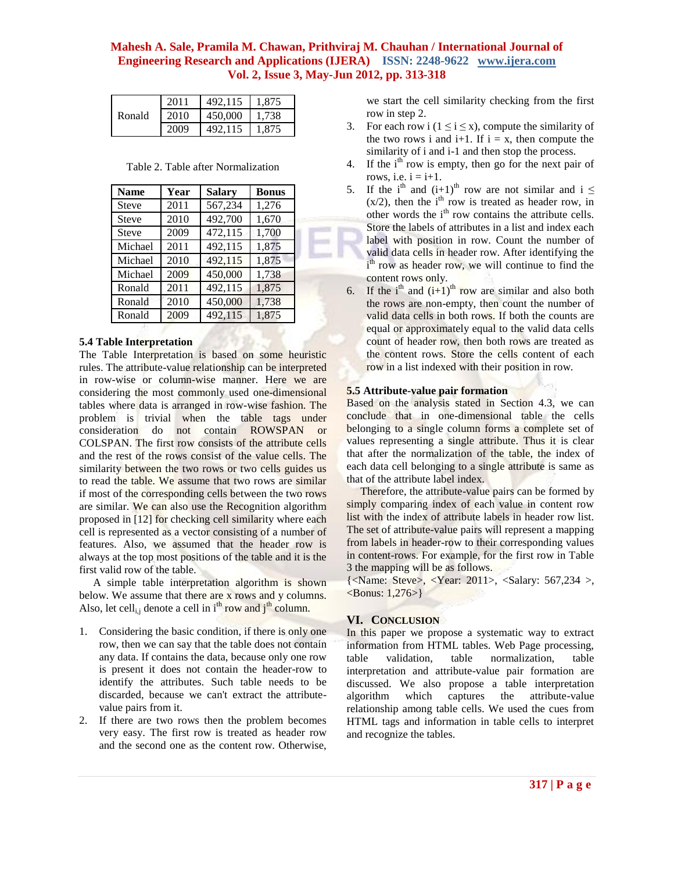| Ronald | 2011 | 492.115 | 1.875 |
|--------|------|---------|-------|
|        | 2010 | 450,000 | 1.738 |
|        | 2009 | 492.115 | 1.875 |

Table 2. Table after Normalization

| <b>Name</b>  | Year | <b>Salary</b> | <b>Bonus</b> |
|--------------|------|---------------|--------------|
| <b>Steve</b> | 2011 | 567,234       | 1,276        |
| <b>Steve</b> | 2010 | 492,700       | 1,670        |
| <b>Steve</b> | 2009 | 472,115       | 1,700        |
| Michael      | 2011 | 492,115       | 1,875        |
| Michael      | 2010 | 492,115       | 1,875        |
| Michael      | 2009 | 450,000       | 1,738        |
| Ronald       | 2011 | 492,115       | 1,875        |
| Ronald       | 2010 | 450,000       | 1,738        |
| Ronald       | 2009 | 492,115       | 1,875        |

# **5.4 Table Interpretation**

The Table Interpretation is based on some heuristic rules. The attribute-value relationship can be interpreted in row-wise or column-wise manner. Here we are considering the most commonly used one-dimensional tables where data is arranged in row-wise fashion. The problem is trivial when the table tags under consideration do not contain ROWSPAN or COLSPAN. The first row consists of the attribute cells and the rest of the rows consist of the value cells. The similarity between the two rows or two cells guides us to read the table. We assume that two rows are similar if most of the corresponding cells between the two rows are similar. We can also use the Recognition algorithm proposed in [12] for checking cell similarity where each cell is represented as a vector consisting of a number of features. Also, we assumed that the header row is always at the top most positions of the table and it is the first valid row of the table.

 A simple table interpretation algorithm is shown below. We assume that there are x rows and y columns. Also, let cell<sub>i,j</sub> denote a cell in  $i<sup>th</sup>$  row and  $j<sup>th</sup>$  column.

- 1. Considering the basic condition, if there is only one row, then we can say that the table does not contain any data. If contains the data, because only one row is present it does not contain the header-row to identify the attributes. Such table needs to be discarded, because we can't extract the attributevalue pairs from it.
- 2. If there are two rows then the problem becomes very easy. The first row is treated as header row and the second one as the content row. Otherwise,

we start the cell similarity checking from the first row in step 2.

- 3. For each row i  $(1 \le i \le x)$ , compute the similarity of the two rows i and i+1. If  $i = x$ , then compute the similarity of i and i-1 and then stop the process.
- 4. If the  $i<sup>th</sup>$  row is empty, then go for the next pair of rows, i.e.  $i = i+1$ .
- 5. If the i<sup>th</sup> and  $(i+1)$ <sup>th</sup> row are not similar and i  $\leq$  $(x/2)$ , then the i<sup>th</sup> row is treated as header row, in other words the  $i<sup>th</sup>$  row contains the attribute cells. Store the labels of attributes in a list and index each label with position in row. Count the number of valid data cells in header row. After identifying the i<sup>th</sup> row as header row, we will continue to find the content rows only.
- 6. If the i<sup>th</sup> and  $(i+1)$ <sup>th</sup> row are similar and also both the rows are non-empty, then count the number of valid data cells in both rows. If both the counts are equal or approximately equal to the valid data cells count of header row, then both rows are treated as the content rows. Store the cells content of each row in a list indexed with their position in row.

# **5.5 Attribute-value pair formation**

Based on the analysis stated in Section 4.3, we can conclude that in one-dimensional table the cells belonging to a single column forms a complete set of values representing a single attribute. Thus it is clear that after the normalization of the table, the index of each data cell belonging to a single attribute is same as that of the attribute label index.

 Therefore, the attribute-value pairs can be formed by simply comparing index of each value in content row list with the index of attribute labels in header row list. The set of attribute-value pairs will represent a mapping from labels in header-row to their corresponding values in content-rows. For example, for the first row in Table 3 the mapping will be as follows.

{<Name: Steve>, <Year: 2011>, <Salary: 567,234 >,  $\langle$ Bonus: 1,276>}

# **VI. CONCLUSION**

In this paper we propose a systematic way to extract information from HTML tables. Web Page processing, table validation, table normalization, table interpretation and attribute-value pair formation are discussed. We also propose a table interpretation algorithm which captures the attribute-value relationship among table cells. We used the cues from HTML tags and information in table cells to interpret and recognize the tables.